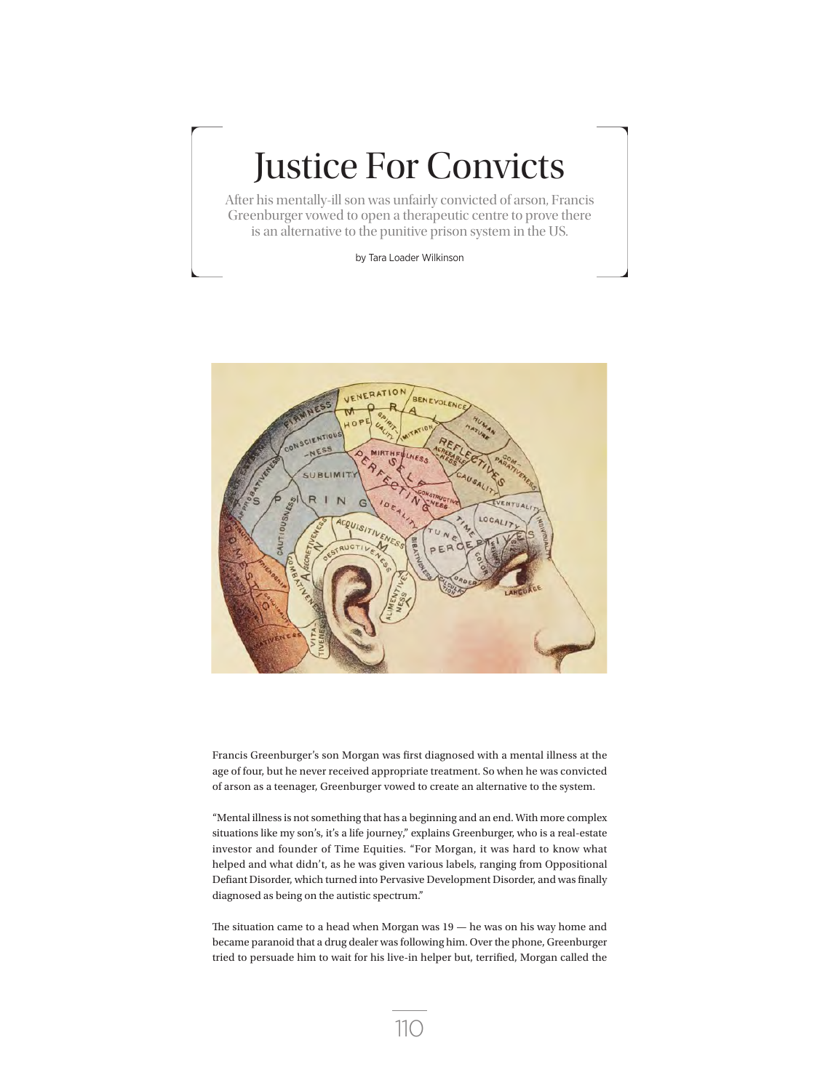## Justice For Convicts

After his mentally-ill son was unfairly convicted of arson, Francis Greenburger vowed to open a therapeutic centre to prove there is an alternative to the punitive prison system in the US.

by Tara Loader Wilkinson



Francis Greenburger's son Morgan was first diagnosed with a mental illness at the age of four, but he never received appropriate treatment. So when he was convicted of arson as a teenager, Greenburger vowed to create an alternative to the system.

"Mental illness is not something that has a beginning and an end. With more complex situations like my son's, it's a life journey," explains Greenburger, who is a real-estate investor and founder of Time Equities. "For Morgan, it was hard to know what helped and what didn't, as he was given various labels, ranging from Oppositional Defiant Disorder, which turned into Pervasive Development Disorder, and was finally diagnosed as being on the autistic spectrum."

The situation came to a head when Morgan was 19 — he was on his way home and became paranoid that a drug dealer was following him. Over the phone, Greenburger tried to persuade him to wait for his live-in helper but, terrified, Morgan called the